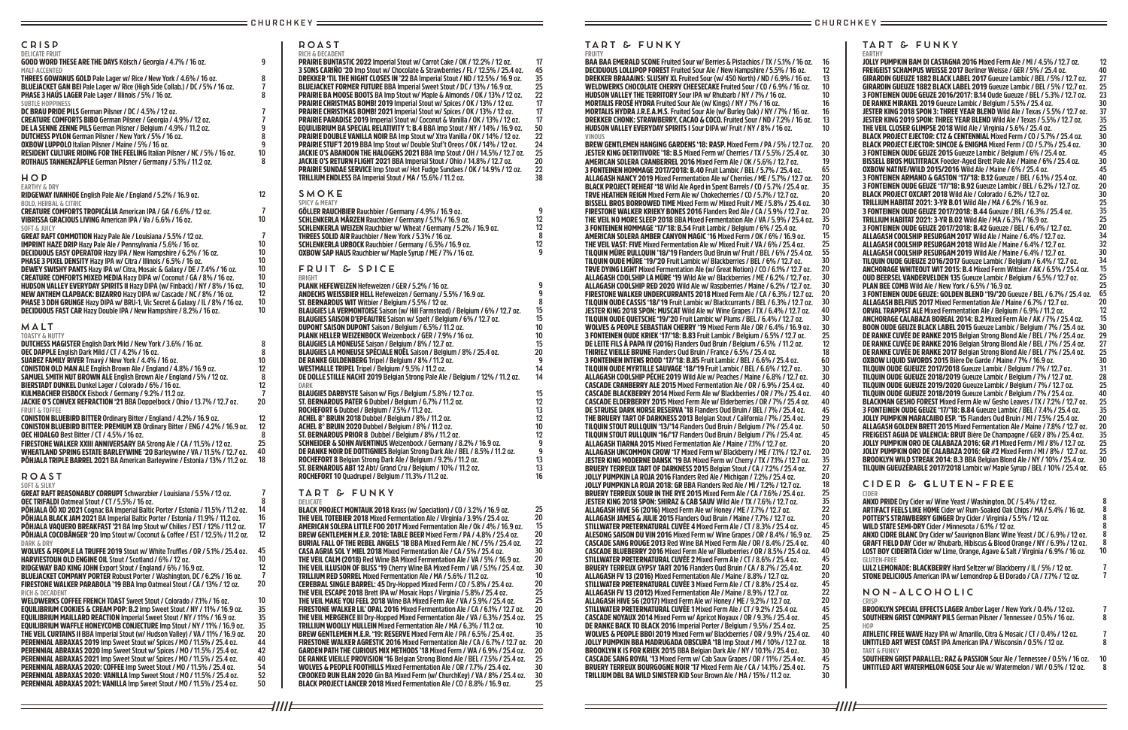**ROAST RICH & DECADENT**

PRAIRIE BUNTASTIC 2022 **Imperial Stout w/ Carrot Cake / OK / 12.2% / 12 oz.**

3 SONS CARIÑO '20 **Imp Stout w/ Chocolate & Strawberries / FL / 12.5% / 25.4 oz.** DREKKER 'TIL THE NIGHT CLOSES IN '22 **BA Imperial Stout / ND / 12.5% / 16.9 oz.** BLUEJACKET FORMER FUTURE **BBA Imperial Sweet Stout / DC / 13% / 16.9 oz.** PRAIRIE BA MOOSE BOOTS **BA Imp Stout w/ Maple & Almonds / OK / 13% / 12 oz.** PRAIRIE CHRISTMAS BOMB! 2019 **Imperial Stout w/ Spices / OK / 13% / 12 oz.** PRAIRIE CHRISTMAS BOMB! 2021 **Imperial Stout w/ Spices / OK / 13% / 12 oz.** PRAIRIE PARADISE 2019 **Imperial Stout w/ Coconut & Vanilla / OK / 13% / 12 oz.** EQUILIBRIUM BA SPECIAL RELATIVITY 1: B.4 **BBA Imp Stout / NY / 14% / 16.9 oz.**  PRAIRIE DOUBLE VANILLA NOIR **BA Imp Stout w/ Xtra Vanilla / OK / 14% / 12 oz.**  PRAIRIE STUF'T 2019 **BBA Imp Stout w/ Double Stuf't Oreos / OK / 14% / 12 oz.** JACKIE O'S ABANDON THE HALOGENS 2021 **BBA Imp Stout / OH / 14.5% / 12.7 oz.** JACKIE O'S RETURN FLIGHT 2021 **BBA Imperial Stout / Ohio / 14.8% / 12.7 oz.** PRAIRIE SUNDAE SERVICE **Imp Stout w/ Hot Fudge Sundaes / OK / 14.9% / 12 oz.** TRILLIUM ENDLESS **BA Imperial Stout / MA / 15.6% / 11.2 oz. SMOKE SPICY & MEATY** GÖLLER RAUCHBIER **Rauchbier / Germany / 4.9% / 16.9 oz.** SCHLENKERLA MÄRZEN **Rauchbier / Germany / 5.1% / 16.9 oz.** SCHLENKERLA WEIZEN **Rauchbier w/ Wheat / Germany / 5.2% / 16.9 oz.** THREES SOLID AIR **Rauchbier / New York / 5.3% / 16 oz.** SCHLENKERLA URBOCK **Rauchbier / Germany / 6.5% / 16.9 oz.** OXBOW SAP HAUS **Rauchbier w/ Maple Syrup / ME / 7% / 16 oz. FRUIT & SPICE BRIGHT** PLANK HEFEWEIZEN **Hefeweizen / GER / 5.2% / 16 oz.** ANDECHS WEISSBIER HELL **Hefeweizen / Germany / 5.5% / 16.9 oz.**  ST. BERNARDUS WIT **Witbier / Belgium / 5.5% / 12 oz.** BLAUGIES LA VERMONTOISE **Saison (w/ Hill Farmstead) / Belgium / 6% / 12.7 oz.** BLAUGIES SAISON D'EPEAUTRE **Saison w/ Spelt / Belgium / 6% / 12.7 oz.**  DUPONT SAISON DUPONT **Saison / Belgium / 6.5% / 11.2 oz.** PLANK HELLER WEIZENBOCK **Weizenbock / GER / 7.9% / 16 oz.** BLAUGIES LA MONEUSE **Saison / Belgium / 8% / 12.7 oz.** BLAUGIES LA MONEUSE SPÉCIALE NOËL **Saison / Belgium / 8% / 25.4 oz.** DE RANKE GULDENBERG **Tripel / Belgium / 8% / 11.2 oz.** WESTMALLE TRIPEL **Tripel / Belgium / 9.5% / 11.2 oz.** DE DOLLE STILLE NACHT 2019 **Belgian Strong Pale Ale / Belgium / 12% / 11.2 oz. DARK** BLAUGIES DARBYSTE **Saison w/ Figs / Belgium / 5.8% / 12.7 oz.** ST. BERNARDUS PATER 6 **Dubbel / Belgium / 6.7% / 11.2 oz.**  ROCHEFORT 6 **Dubbel / Belgium / 7.5% / 11.2 oz.** ACHEL 8° BRUIN 2018 **Dubbel / Belgium / 8% / 11.2 oz.** ACHEL 8° BRUIN 2020 **Dubbel / Belgium / 8% / 11.2 oz.** ST. BERNARDUS PRIOR 8 **Dubbel / Belgium / 8% / 11.2 oz.** SCHNEIDER & SOHN AVENTINUS **Weizenbock / Germany / 8.2% / 16.9 oz.** DE RANKE NOIR DE DOTTIGNIES **Belgian Strong Dark Ale / BEL / 8.5% / 11.2 oz.** ROCHEFORT 8 **Belgian Strong Dark Ale / Belgium / 9.2% / 11.2 oz.** ST. BERNARDUS ABT 12 **Abt/ Grand Cru / Belgium / 10% / 11.2 oz.** ROCHEFORT 10 **Quadrupel / Belgium / 11.3% / 11.2 oz. TART & FUNKY DELICATE** BLACK PROJECT MONTAUK 2018 **Kvass (w/ Speciation) / CO / 3.2% / 16.9 oz.** THE VEIL TOTEBIER 2018 **Mixed Fermentation Ale / Virginia / 3.9% / 25.4 oz.** AMERICAN SOLERA LITTLE FOO 2017 **Mixed Fermentation Ale / Ok / 4% / 16.9 oz.**  BREW GENTLEMEN M.E.R. 2018: TABLE BEER **Mixed Ferm / PA / 4.8% / 25.4 oz.** BURIAL FALL OF THE REBEL ANGELS '18 **BBA Mixed Ferm Ale / NC / 5% / 25.4 oz.** CASA AGRIA SOL Y MIEL 2018 **Mixed Fermentation Ale / CA / 5% / 25.4 oz.** THE VEIL CALM (2018) **Red Wine BA Mixed Fermentation Ale / VA / 5% / 16.9 oz.** THE VEIL ILLUSION OF BLISS '19 **Cherry Wine BA Mixed Ferm / VA / 5.1% / 25.4 oz.** TRILLIUM RED SORREL **Mixed Fermentation Ale / MA / 5.6% / 11.2 oz.** CEREBRAL SINGLE BARREL: 45 **Dry-Hopped Mixed Ferm / CO / 5.8% / 25.4 oz.** THE VEIL ESCAPE 2018 Brett IPA w/ Mosaic Hops / Virginia / 5.8% / 25.4 oz. THE VEIL MAKE YOU FEEL 2018 **Wine BA Mixed Ferm Ale / VA / 5.9% / 25.4 oz.** FIRESTONE WALKER LIL' OPAL 2016 **Mixed Fermentation Ale / CA / 6.1% / 12.7 oz.** THE VEIL MERGENCE III **Dry-Hopped Mixed Fermentation Ale / VA / 6.3% / 25.4 oz.** TRILLIUM WOOLLY MULLEIN **Mixed Fermentation Ale / MA / 6.3% / 11.2 oz.** BREW GENTLEMEN M.E.R. '19: RESERVE **Mixed Ferm Ale / PA / 6.5% / 25.4 oz.** FIRESTONE WALKER AGRESTIC 2016 **Mixed Fermentation Ale / CA / 6.7% / 12.7 oz.** GARDEN PATH THE CURIOUS MIX METHODS '18 **Mixed Ferm / WA / 6.9% / 25.4 oz.** DE RANKE VIEILLE PROVISION '16 **Belgian Strong Blond Ale / BEL / 7.5% / 25.4 oz. 25** WOLVES & PEOPLE FOOTHILLS **Mixed Fermentation Ale / OR / 7.7% / 25.4 oz.** CROOKED RUN ELAN 2020 **Gin BA Mixed Ferm (w/ ChurchKey) / VA / 8% / 25.4 oz. 30** BLACK PROJECT LANCER 2018 **Mixed Fermentation Ale / CO / 8.8% / 16.9 oz. 45 35 25 22 17 17 17 50 22 24 25 20 22 38 9 12 12 8 12 9 9 9 8 15 15 10 10 15 20 9 14 14 15 12 13 12 10 12 9 9 13 13 16 25 20 15 20 22 30 20 30 10 20 25 25 20 25 10 35 20 20 30 25**

| CRISP                                                                                                                                                                                                                                                                                                                                                                                                                                                                                                                                                                                                                                                                                                                                                                                                                       |                                                                     |
|-----------------------------------------------------------------------------------------------------------------------------------------------------------------------------------------------------------------------------------------------------------------------------------------------------------------------------------------------------------------------------------------------------------------------------------------------------------------------------------------------------------------------------------------------------------------------------------------------------------------------------------------------------------------------------------------------------------------------------------------------------------------------------------------------------------------------------|---------------------------------------------------------------------|
| <b>DELICATE FRUIT</b><br><b>GOOD WORD THESE ARE THE DAYS Kölsch / Georgia / 4.7% / 16 oz.</b>                                                                                                                                                                                                                                                                                                                                                                                                                                                                                                                                                                                                                                                                                                                               | 9                                                                   |
| MALT-ACCENTED<br><b>THREES GOWANUS GOLD Pale Lager w/ Rice / New York / 4.6% / 16 oz.</b><br><b>BLUEJACKET GAN BEI Pale Lager w/ Rice (High Side Collab.) / DC / 5% / 16 oz.</b><br><b>PHASE 3 HAUS LAGER Pale Lager / Illinois / 5% / 16 oz.</b><br><b>SUBTLE HOPPINESS</b>                                                                                                                                                                                                                                                                                                                                                                                                                                                                                                                                                | 8<br>7<br>8                                                         |
| DC BRAU PRIDE PILS German Pilsner / DC / 4.5% / 12 oz.<br>CREATURE COMFORTS BIBO German Pilsner / Georgia / 4.9% / 12 oz.<br>DE LA SENNE ZENNE PILS German Pilsner / Belgium / 4.9% / 11.2 oz.<br><b>DUTCHESS PYLON</b> German Pilsner / New York / 5% / 16 oz.<br>OXBOW LUPPOLO Italian Pilsner / Maine / 5% / 16 oz.<br>RESIDENT CULTURE RIDING FOR THE FEELING Italian Pilsner / NC / 5% / 16 oz.<br>ROTHAUS TANNENZÄPFLE German Pilsner / Germany / 5.1% / 11.2 oz.                                                                                                                                                                                                                                                                                                                                                     | 7<br>$\overline{\mathbf{r}}$<br>9<br>8<br>9<br>10 <sup>1</sup><br>8 |
| HOP                                                                                                                                                                                                                                                                                                                                                                                                                                                                                                                                                                                                                                                                                                                                                                                                                         |                                                                     |
| <b>EARTHY &amp; DRY</b><br>RIDGEWAY IVANHOE English Pale Ale / England / 5.2% / 16.9 oz.                                                                                                                                                                                                                                                                                                                                                                                                                                                                                                                                                                                                                                                                                                                                    | 12                                                                  |
| <b>BOLD, HERBAL &amp; CITRIC</b><br>CREATURE COMFORTS TROPICÁLIA American IPA / GA / 6.6% / 12 oz.<br>VIBRISSA GRACIOUS LIVING American IPA / Va / 6.6% / 16 oz.                                                                                                                                                                                                                                                                                                                                                                                                                                                                                                                                                                                                                                                            | 7<br>10                                                             |
| <b>SOFT &amp; JUICY</b><br><b>GREAT RAFT COMMOTION Hazy Pale Ale / Louisiana / 5.5% / 12 oz.</b><br><b>IMPRINT HAZE DRIP</b> Hazy Pale Ale / Pennsylvania / 5.6% / 16 oz.<br>DECIDUOUS EASY OPERATOR Hazy IPA / New Hampshire / 6.2% / 16 oz.<br><b>PHASE 3 PIXEL DENSITY Hazy IPA w/ Citra / Illinois / 6.5% / 16 oz.</b><br>DEWEY SWISHY PANTS Hazy IPA w/ Citra, Mosaic & Galaxy / DE / 7.4% / 16 oz.<br><b>CREATURE COMFORTS MIXED MEDIA Hazy DIPA w/ Coconut / GA / 8% / 16 oz.</b><br><b>HUDSON VALLEY EVERYDAY SPIRITS II Hazy DIPA (w/ Finback) / NY / 8% / 16 oz.</b><br><b>NEW ANTHEM CLAPBACK: BIZARRO Hazy DIPA w/ Cascade / NC / 8% / 16 oz.</b><br>PHASE 3 DDH GRUNGE Hazy DIPA w/ BRU-1. Vic Secret & Galaxy / IL / 8% / 16 oz.<br><b>DECIDUOUS FAST CAR Hazy Double IPA / New Hampshire / 8.2% / 16 oz.</b> | 7<br>10<br>10<br>10<br>10<br>10<br>10<br>12<br>10<br>10             |
| MALT                                                                                                                                                                                                                                                                                                                                                                                                                                                                                                                                                                                                                                                                                                                                                                                                                        |                                                                     |
| <b>TOASTY &amp; NUTTY</b><br><b>DUTCHESS MAGISTER English Dark Mild / New York / 3.6% / 16 oz.</b><br>OEC DAPPLE English Dark Mild / CT / 4.2% / 16 oz.<br><b>SUAREZ FAMILY RIVER Tmavý / New York / 4.4% / 16 oz.</b><br><b>CONISTON OLD MAN ALE English Brown Ale / England / 4.8% / 16.9 oz.</b><br>SAMUEL SMITH NUT BROWN ALE English Brown Ale / England / 5% / 12 oz.<br>BIERSTADT DUNKEL Dunkel Lager / Colorado / 6% / 16 oz.<br><b>KULMBACHER EISBOCK Eisbock / Germany / 9.2% / 11.2 oz.</b><br>JACKIE O'S CONVEX REFRACTION '21 BBA Doppelbock / Ohio / 13.7% / 12.7 oz.                                                                                                                                                                                                                                         | 8<br>8<br>10<br>12<br>8<br>12<br>7<br>20                            |
| <b>FRUIT &amp; TOFFEE</b><br><b>CONISTON BLUEBIRD BITTER Ordinary Bitter / England / 4.2% / 16.9 oz.</b><br>CONISTON BLUEBIRD BITTER: PREMIUM XB Ordinary Bitter / ENG / 4.2% / 16.9 oz.<br><b>OEC HIDALGO Best Bitter / CT / 4.5% / 16 oz.</b><br>FIRESTONE WALKER XXIII ANNIVERSARY BA Strong Ale / CA / 11.5% / 12 oz.<br>WHEATLAND SPRING ESTATE BARLEYWINE '20 Barleywine / VA / 11.5% / 12.7 oz.<br>PÕHJALA TRIPLE BARREL 2021 BA American Barleywine / Estonia / 13% / 11.2 oz.                                                                                                                                                                                                                                                                                                                                      | 12<br>12<br>8<br>25<br>40<br>18                                     |
| <b>ROAST</b>                                                                                                                                                                                                                                                                                                                                                                                                                                                                                                                                                                                                                                                                                                                                                                                                                |                                                                     |
| <b>SOFT &amp; SILKY</b><br><b>GREAT RAFT REASONABLY CORRUPT Schwarzbier / Louisiana / 5.5% / 12 oz.</b><br><b>OEC TRIFALDI Oatmeal Stout / CT / 5.5% / 16 oz.</b><br><b>POHJALA 00 XO 2021 Cognac BA Imperial Baltic Porter / Estonia / 11.5% / 11.2 oz.</b><br>PÕHJALA BLACK JAM 2021 BA Imperial Baltic Porter / Estonia / 11.9% / 11.2 oz.                                                                                                                                                                                                                                                                                                                                                                                                                                                                               | 7<br>8<br>14<br>16                                                  |
|                                                                                                                                                                                                                                                                                                                                                                                                                                                                                                                                                                                                                                                                                                                                                                                                                             |                                                                     |

PÕHJALA VAQUERO BREAKFAST '21 **BA Imp Stout w/ Chilies / EST / 12% / 11.2 oz.** PÕHJALA COCOBÄNGER '20 Imp Stout w/ Coconut & Coffee / EST / 12.5% / 11.2 oz. **DARK & DRY** WOLVES & PEOPLE LA TRUFFE 2019 Stout w/ White Truffles / OR / 5.1% / 25.4 oz. HARVIESTOUN OLD ENGINE OIL **Stout / Scotland / 6% / 12 oz.** RIDGEWAY BAD KING JOHN **Export Stout / England / 6% / 16.9 oz.** BLUEJACKET COMPANY PORTER **Robust Porter / Washington, DC / 6.2% / 16 oz.** FIRESTONE WALKER PARABOLA '19 **BBA Imp Oatmeal Stout / CA / 13% / 12 oz. RICH & DECADENT** WELDWERKS COFFEE FRENCH TOAST **Sweet Stout / Colorado / 7.1% / 16 oz.** EQUILIBRIUM COOKIES & CREAM POP: B.2 **Imp Sweet Stout / NY / 11% / 16.9 oz.** EQUILIBRIUM MAILLARD REACTION **Imperial Sweet Stout / NY / 11% / 16.9 oz.** EQUILIBRIUM WAFFLE HONEYCOMB CONJECTURE **Imp Stout / NY / 11% / 16.9 oz.** THE VEIL CURTAINS II **BBA Imperial Stout (w/ Hudson Valley) / VA / 11% / 16.9 oz.** PERENNIAL ABRAXAS 2019 **Imp Sweet Stout w/ Spices / MO / 11.5% / 25.4 oz.**  PERENNIAL ABRAXAS 2020 **Imp Sweet Stout w/ Spices / MO / 11.5% / 25.4 oz.**  PERENNIAL ABRAXAS 2021 **Imp Sweet Stout w/ Spices / MO / 11.5% / 25.4 oz.**  PERENNIAL ABRAXAS 2020: COFFEE **Imp Sweet Stout / MO / 11.5% / 25.4 oz.** PERENNIAL ABRAXAS 2020: VANILLA **Imp Sweet Stout / MO / 11.5% / 25.4 oz. 17 12 45 10 12**

PERENNIAL ABRAXAS 2021: VANILLA **Imp Sweet Stout / MO / 11.5% / 25.4 oz. ///// 7 20 10 35 35 35 20 44 42 40 54 52 50**

**17**

## **TART & FUNKY FRUITY**

**TART & FUNKY EARTHY** JOLLY PUMPKIN BAM DI CASTAGNA 2016 **Mixed Ferm Ale / MI / 4.5% / 12.7 oz.** FREIGEIST SCHAMPUS WEISSE 2017 **Berliner Weisse / GER / 5% / 25.4 oz.** GIRARDIN GUEUZE 1882 BLACK LABEL 2017 **Gueuze Lambic / BEL / 5% / 12.7 oz.** GIRARDIN GUEUZE 1882 BLACK LABEL 2019 **Gueuze Lambic / BEL / 5% / 12.7 oz.** 3 FONTEINEN OUDE GEUZE 2016/2017: B.14 **Oude Gueuze / BEL / 5.3% / 12.7 oz.** DE RANKE MIRAKEL 2019 **Gueuze Lambic / Belgium / 5.5% / 25.4 oz.** JESTER KING 2018 SPON 3: THREE YEAR BLEND **Wild Ale / Texas / 5.5% / 12.7 oz.** JESTER KING 2019 SPON: THREE YEAR BLEND **Wild Ale / Texas / 5.5% / 12.7 oz.** THE VEIL CLOSER GLIMPSE 2018 **Wild Ale / Virginia / 5.6% / 25.4 oz.** BLACK PROJECT EJECTOR: CTZ & CENTENNIAL **Mixed Ferm / CO / 5.7% / 25.4 oz.** BLACK PROJECT EJECTOR: SIMCOE & ENIGMA **Mixed Ferm / CO / 5.7% / 25.4 oz.** 3 FONTEINEN OUDE GEUZE 2015 **Gueuze Lambic / Belgium / 6% / 25.4 oz.** BISSELL BROS MULTITRACK Foeder-Aged Brett Pale Ale / Maine / 6% / 25.4 oz. OXBOW NATIVE/WILD 2015/2016 **Wild Ale / Maine / 6% / 25.4 oz.** 3 FONTEINEN ARMAND & GASTON '17/'18: B.12 **Gueuze / BEL / 6.1% / 25.4 oz.** 3 FONTEINEN OUDE GEUZE '17/'18: B.92 **Gueuze Lambic / BEL / 6.2% / 12.7 oz.** BLACK PROJECT OXCART 2018 **Wild Ale / Colorado / 6.2% / 12.7 oz.** TRILLIUM HABITAT 2021: 3-YR B.01 **Wild Ale / MA / 6.2% / 16.9 oz.** 3 FONTEINEN OUDE GEUZE 2017/2018: B.44 **Gueuze / BEL / 6.3% / 25.4 oz.** TRILLIUM HABITAT 2021: 3-YR B.02 **Wild Ale / MA / 6.3% / 16.9 oz.** 3 FONTEINEN OUDE GEUZE 2017/2018: B.42 **Gueuze / BEL / 6.4% / 12.7 oz.** ALLAGASH COOLSHIP RESURGAM 2017 **Wild Ale / Maine / 6.4% / 12.7 oz.** ALLAGASH COOLSHIP RESURGAM 2018 **Wild Ale / Maine / 6.4% / 12.7 oz.** ALLAGASH COOLSHIP RESURGAM 2019 **Wild Ale / Maine / 6.4% / 12.7 oz.**  TILQUIN OUDE GUEUZE 2016/2017 **Gueuze Lambic / Belgium / 6.4% / 12.7 oz.** ANCHORAGE WHITEOUT WIT 2015: B.4 **Mixed Ferm Witbier / AK / 6.5% / 25.4 oz.** OUD BEERSEL VANDERVELDEN 135 **Gueuze Lambic / Belgium / 6.5% / 12.7 oz.** PLAN BEE COMB **Wild Ale / New York / 6.5% / 16.9 oz.** 3 FONTEINEN OUDE GEUZE: GOLDEN BLEND '19/'20 **Gueuze / BEL / 6.7% / 25.4 oz.** ALLAGASH BELFIUS 2017 **Mixed Fermentation Ale / Maine / 6.7% / 12.7 oz.** ORVAL TRAPPIST ALE **Mixed Fermentation Ale / Belgium / 6.9% / 11.2 oz.** ANCHORAGE CALABAZA BOREAL 2014: B.2 **Mixed Ferm Ale / AK / 7% / 25.4 oz.** BOON OUDE GEUZE BLACK LABEL 2015 **Gueuze Lambic / Belgium / 7% / 25.4 oz.** DE RANKE CUVÉE DE RANKE 2015 **Belgian Strong Blond Ale / BEL / 7% / 25.4 oz.** DE RANKE CUVÉE DE RANKE 2016 **Belgian Strong Blond Ale / BEL / 7% / 25.4 oz.** DE RANKE CUVÉE DE RANKE 2017 **Belgian Strong Blond Ale / BEL / 7% / 25.4 oz.**  OXBOW LIQUID SWORDS 2015 **Bière De Garde / Maine / 7% / 16.9 oz.** TILQUIN OUDE GUEUZE 2017/2018 **Gueuze Lambic / Belgium / 7% / 12.7 oz.** TILQUIN OUDE GUEUZE 2018/2019 **Gueuze Lambic / Belgium / 7% / 12.7 oz.** TILQUIN OUDE GUEUZE 2019/2020 **Gueuze Lambic / Belgium / 7% / 12.7 oz.** TILQUIN OUDE GUEUZE 2018/2019 **Gueuze Lambic / Belgium / 7% / 25.4 oz.** BLACKMAN GESHO FOREST **Mixed Ferm Ale w/ Gesho Leaves / TX / 7.2% / 12.7 oz.** 3 FONTEINEN OUDE GEUZE '17/'18: B.84 **Gueuze Lambic / BEL / 7.4% / 25.4 oz.** JOLLY PUMPKIN MARACAIBO ESP. '15 **Flanders Oud Bruin / MI / 7.5% / 25.4 oz.** ALLAGASH GOLDEN BRETT 2015 **Mixed Fermentation Ale / Maine / 7.8% / 12.7 oz.** FREIGEIST AGUA DE VALENCIA: BRUT **Bière De Champagne / GER / 8% / 25.4 oz.** JOLLY PUMPKIN ORO DE CALABAZA 2016: GR #1 **Mixed Ferm / MI / 8% / 12.7 oz.** JOLLY PUMPKIN ORO DE CALABAZA 2016: GR #2 **Mixed Ferm / MI / 8% / 12.7 oz.** BROOKLYN WILD STREAK 2014: B.3 **BBA Belgian Blond Ale / NY / 10% / 25.4 oz.** TILQUIN GUEUZÉRABLE 2017/2018 **Lambic w/ Maple Syrup / BEL / 10% / 25.4 oz. 65 CIDER & GLUTEN-FREE CIDER** ANXO PRIDE **Dry Cider w/ Wine Yeast / Washington, DC / 5.4% / 12 oz.** ARTIFACT FEELS LIKE HOME **Cider w/ Rum-Soaked Oak Chips / MA / 5.4% / 16 oz.** POTTER'S STRAWBERRY GINGER **Dry Cider / Virginia / 5.5% / 12 oz.** WILD STATE SEMI-DRY **Cider / Minnesota / 6.1% / 12 oz.** ANXO CIDRE BLANC **Dry Cider w/ Sauvignon Blanc Wine Yeast / DC / 6.9% / 12 oz.** GRAFT FIELD DAY **Cider w/ Rhubarb, Hibiscus & Blood Orange / NY / 6.9% / 12 oz.** LOST BOY CIDERITA **Cider w/ Lime, Orange, Agave & Salt / Virginia / 6.9% / 16 oz. GLUTEN-FREE** LULZ LEMONADE: BLACKBERRY **Hard Seltzer w/ Blackberry / IL / 5% / 12 oz.** STONE DELICIOUS **American IPA w/ Lemondrop & El Dorado / CA / 7.7% / 12 oz. NON-ALCOHOLIC CRISP** BROOKLYN SPECIAL EFFECTS LAGER **Amber Lager / New York / 0.4% / 12 oz.** SOUTHERN GRIST COMPANY PILS **German Pilsner / Tennessee / 0.5% / 16 oz. HOP 12 40 27 25 23 30 37 35 25 30 30 45 30 45 40 20 30 25 35 25 20 34 32 30 34 15 25 25 65 20 12 15 30 29 27 25 30 31 28 25 40 25 35 20 20 35 25 25 30 8 8 8 8 8 8 10 7 7 7 8 7**

ATHLETIC FREE WAVE **Hazy IPA w/ Amarillo, Citra & Mosaic / CT / 0.4% / 12 oz.** UNTITLED ART WEST COAST **IPA American IPA / Wisconsin / 0.5% / 12 oz. TART & FUNKY** SOUTHERN GRIST PARALLEL: RAZ & PASSION **Sour Ale / Tennessee / 0.5% / 16 oz. 10 8**

BAA BAA EMERALD SCONE **Fruited Sour w/ Berries & Pistachios / TX / 5.1% / 16 oz. 16** DECIDUOUS LOLLIPOP FOREST **Fruited Sour Ale / New Hampshire / 5.5% / 16 oz.** DREKKER BRAAAINS: SLUSHY XL **Fruited Sour (w/ 450 North) / ND / 6.9% / 16 oz.** WELDWERKS CHOCOLATE CHERRY CHEESECAKE **Fruited Sour / CO / 6.9% / 16 oz.** HUDSON VALLEY THE TERRITORY **Sour IPA w/ Rhubarb / NY / 7% / 16 oz.** MORTALIS FROSÉ HYDRA **Fruited Sour Ale (w/ Kings) / NY / 7% / 16 oz.** MORTALIS HYDRA J.R.E.A.M.S. **Fruited Sour Ale (w/ Burley Oak) / NY / 7% / 16 oz.** DREKKER CHONK: STRAWBERRY, CACAO & COCO. **Fruited Sour / ND / 7.2% / 16 oz.** HUDSON VALLEY EVERYDAY SPIRITS I **Sour DIPA w/ Fruit / NY / 8% / 16 oz. VINOUS** BREW GENTLEMEN HANGING GARDENS '18: RASP. **Mixed Ferm / PA / 5% / 12.7 oz. 20** JESTER KING DETRITIVORE '18: B.5 **Mixed Ferm w/ Cherries / TX / 5.5% / 25.4 oz.** AMERICAN SOLERA CRANBERREL 2016 **Mixed Ferm Ale / OK / 5.6% / 12.7 oz.** 3 FONTEINEN HOMMAGE 2017/2018: B.40 **Fruit Lambic / BEL / 5.7% / 25.4 oz.** ALLAGASH NANCY 2019 **Mixed Fermentation Ale w/ Cherries / ME / 5.7% / 12.7 oz.** BLACK PROJECT REHEAT '18 **Wild Ale Aged in Spent Barrels / CO / 5.7% / 25.4 oz.** TRVE HEATHEN REIGN **Mixed Ferm Ale w/ Chokecherries / CO / 5.7% / 12.7 oz.** BISSELL BROS BORROWED TIME **Mixed Ferm w/ Mixed Fruit / ME / 5.8% / 25.4 oz.** FIRESTONE WALKER KRIEKY BONES 2016 **Flanders Red Ale / CA / 5.9% / 12.7 oz.** THE VEIL NO MORE SLEEP 2018 **BBA Mixed Fermentation Ale / VA / 5.9% / 25.4 oz.** 3 FONTEINEN HOMMAGE '17/'18: B.54 **Fruit Lambic / Belgium / 6% / 25.4 oz.** AMERICAN SOLERA AMBER CANYON MAGIC '16 **Mixed Ferm / OK / 6% / 16.9 oz.** THE VEIL VAST: FIVE **Mixed Fermentation Ale w/ Mixed Fruit / VA / 6% / 25.4 oz.** TILQUIN MÛRE RULLQUIN '18/'19 **Flanders Oud Bruin w/ Fruit / BEL / 6% / 25.4 oz.** TILQUIN OUDE MÛRE '19/'20 **Fruit Lambic w/ Blackberries / BEL / 6% / 12.7 oz.** TRVE DYING LIGHT **Mixed Fermentation Ale (w/ Great Notion) / CO / 6.1% / 12.7 oz.** ALLAGASH COOLSHIP LA MÛRE '19 **Wild Ale w/ Blackberries / ME / 6.2% / 12.7 oz.** ALLAGASH COOLSHIP RED 2020 **Wild Ale w/ Raspberries / Maine / 6.2% / 12.7 oz.** FIRESTONE WALKER UNDERCURRANTS 2018 **Mixed Ferm Ale / CA / 6.3% / 12.7 oz. 20** TILQUIN OUDE CASSIS '18/'19 **Fruit Lambic w/ Blackcurrants / BEL / 6.3% / 12.7 oz.**  JESTER KING 2018 SPON: MUSCAT **Wild Ale w/ Wine Grapes / TX / 6.4% / 12.7 oz.** TILQUIN OUDE QUETSCHE '19/'20 **Fruit Lambic w/ Plums / BEL / 6.4% / 12.7 oz.** WOLVES & PEOPLE SEBASTIAN CHERRY '19 **Mixed Ferm Ale / OR / 6.4% / 16.9 oz.** 3 FONTEINEN OUDE KRIEK '17/'18: B.83 **Fruit Lambic / Belgium / 6.5% / 12.7 oz.** DE LEITE FILS À PAPA IV (2016) **Flanders Oud Bruin / Belgium / 6.5% / 11.2 oz.** THIRIEZ VIEILLE BRUNE **Flanders Oud Bruin / France / 6.5% / 25.4 oz.**  3 FONTEINEN INTENS ROOD '17/'18: B.85 **Fruit Lambic / BEL / 6.6% / 25.4 oz.** TILQUIN OUDE MYRTILLE SAUVAGE '18/'19 **Fruit Lambic / BEL / 6.6% / 12.7 oz.** ALLAGASH COOLSHIP PÊCHE 2019 **Wild Ale w/ Peaches / Maine / 6.8% / 12.7 oz.**  CASCADE CRANBERRY ALE 2015 **Mixed Fermentation Ale / OR / 6.9% / 25.4 oz.** CASCADE BLACKBERRY 2014 **Mixed Ferm Ale w/ Blackberries / OR / 7% / 25.4 oz.** CASCADE ELDERBERRY 2015 **Mixed Ferm Ale w/ Elderberries / OR / 7% / 25.4 oz.** DE STRUISE DARK HORSE RESERVA '18 **Flanders Oud Bruin / BEL / 7% / 25.4 oz.** THE BRUERY TART OF DARKNESS 2013 **Belgian Stout / California / 7% / 25.4 oz.** TILQUIN STOUT RULLQUIN '13/'14 **Flanders Oud Bruin / Belgium / 7% / 25.4 oz.** TILQUIN STOUT RULLQUIN '16/'17 **Flanders Oud Bruin / Belgium / 7% / 25.4 oz.** ALLAGASH TIARNA 2015 **Mixed Fermentation Ale / Maine / 7.1% / 12.7 oz.** ALLAGASH UNCOMMON CROW '17 **Mixed Ferm w/ Blackberry / ME / 7.1% / 12.7 oz.** JESTER KING MODERNE DANSK '19 **BA Mixed Ferm w/ Cherry / TX / 7.1% / 12.7 oz.** BRUERY TERREUX TART OF DARKNESS 2015 **Belgian Stout / CA / 7.2% / 25.4 oz.**  JOLLY PUMPKIN LA ROJA 2016 **Flanders Red Ale / Michigan / 7.2% / 25.4 oz.** JOLLY PUMPKIN LA ROJA 2018: GR **BBA Flanders Red Ale / MI / 7.2% / 12.7 oz.**  BRUERY TERREUX SOUR IN THE RYE 2015 **Mixed Ferm Ale / CA / 7.6% / 25.4 oz.** JESTER KING 2018 SPON: SHIRAZ & CAB SAUV **Wild Ale / TX / 7.6% / 12.7 oz.** ALLAGASH HIVE 56 (2016) **Mixed Ferm Ale w/ Honey / ME / 7.7% / 12.7 oz.** ALLAGASH JAMES & JULIE 2015 **Flanders Oud Bruin / Maine / 7.7% / 12.7 oz.** STILLWATER PRETERNATURAL CUVÉE 4 **Mixed Ferm Ale / CT / 8.3% / 25.4 oz.** ALESONG SAISON DU VIN 2016 **Mixed Ferm w/ Wine Grapes / OR / 8.4% / 16.9 oz.** CASCADE SANG ROUGE 2013 **Red Wine BA Mixed Ferm Ale / OR / 8.4% / 25.4 oz.** CASCADE BLUEBERRY 2016 **Mixed Ferm Ale w/ Blueberries / OR / 8.5% / 25.4 oz.** STILLWATER PRETERNATURAL CUVÉE 2 **Mixed Ferm Ale / CT / 8.6% / 25.4 oz.** BRUERY TERREUX GYPSY TART 2016 **Flanders Oud Bruin / CA / 8.7% / 25.4 oz.** ALLAGASH FV 13 (2016) **Mixed Fermentation Ale / Maine / 8.8% / 12.7 oz.** STILLWATER PRETERNATURAL CUVÉE 3 **Mixed Ferm Ale / CT / 8.8% / 25.4 oz.** ALLAGASH FV 13 (2012) **Mixed Fermentation Ale / Maine / 8.9% / 12.7 oz.** ALLAGASH HIVE 56 (2017) **Mixed Ferm Ale w/ Honey / ME / 9.2% / 12.7 oz.**  STILLWATER PRETERNATURAL CUVÉE 1 **Mixed Ferm Ale / CT / 9.2% / 25.4 oz.** CASCADE NOYAUX 2014 **Mixed Ferm w/ Apricot Noyaux / OR / 9.3% / 25.4 oz.** DE RANKE BACK TO BLACK 2016 **Imperial Porter / Belgium / 9.5% / 25.4 oz.** WOLVES & PEOPLE BBOI 2019 **Mixed Ferm w/ Blackberries / OR / 9.9% / 25.4 oz.** JOLLY PUMPKIN BBA MADRUGADA OBSCURA '18 **Imp Stout / MI / 10% / 12.7 oz.** BROOKLYN K IS FOR KRIEK 2015 **BBA Belgian Dark Ale / NY / 10.1% / 25.4 oz.** CASCADE SANG ROYAL '13 **Mixed Ferm w/ Cab Sauv Grapes / OR / 11% / 25.4 oz.** BRUERY TERREUX BOURGOGNE NOIR '17 **Mixed Ferm Ale / CA / 14.1% / 25.4 oz.** TRILLIUM DBL BA WILD SINISTER KID **Sour Brown Ale / MA / 15% / 11.2 oz. 12 13 10 10 16 16 13 10 30 19 65 20 35 20 30 20 35 70 15 25 55 30 20 30 30 30 40 30 30 25 12 18 60 30 30 40 40 40 45 29 50 45 20 20 35 27 20 18 25 35 22 20 45 25 40 40 45 20 20 45 22 20 45 45 25 40 18 30 45 75 30**

UNTITLED ART WATERMELON GOSE **Sour Ale w/ Watermelon / WI / 0.5% / 12 oz. 8**

**/////**